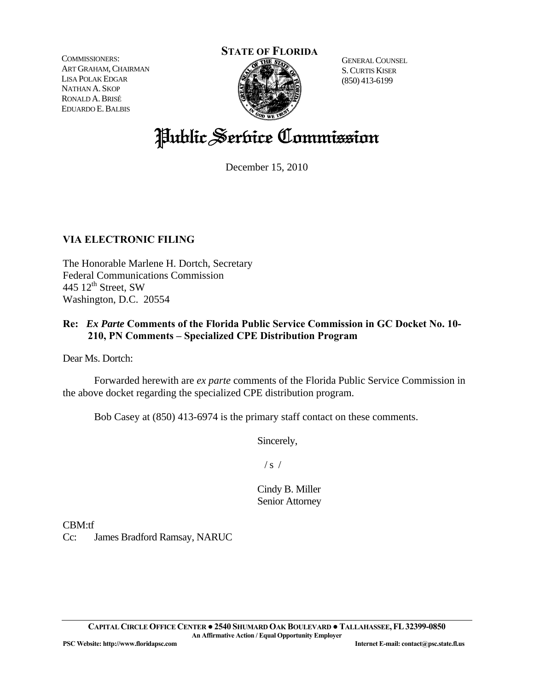COMMISSIONERS: ART GRAHAM, CHAIRMAN LISA POLAK EDGAR NATHAN A. SKOP RONALD A.BRISÉ EDUARDO E.BALBIS

#### **STATE OF FLORIDA**



GENERAL COUNSEL S.CURTIS KISER (850) 413-6199

# Public Service Commission

December 15, 2010

## **VIA ELECTRONIC FILING**

The Honorable Marlene H. Dortch, Secretary Federal Communications Commission 445 12<sup>th</sup> Street, SW Washington, D.C. 20554

## **Re:** *Ex Parte* **Comments of the Florida Public Service Commission in GC Docket No. 10- 210, PN Comments – Specialized CPE Distribution Program**

Dear Ms. Dortch:

 Forwarded herewith are *ex parte* comments of the Florida Public Service Commission in the above docket regarding the specialized CPE distribution program.

Bob Casey at (850) 413-6974 is the primary staff contact on these comments.

Sincerely,

 $/ s /$ 

Cindy B. Miller Senior Attorney

CBM:tf

Cc: James Bradford Ramsay, NARUC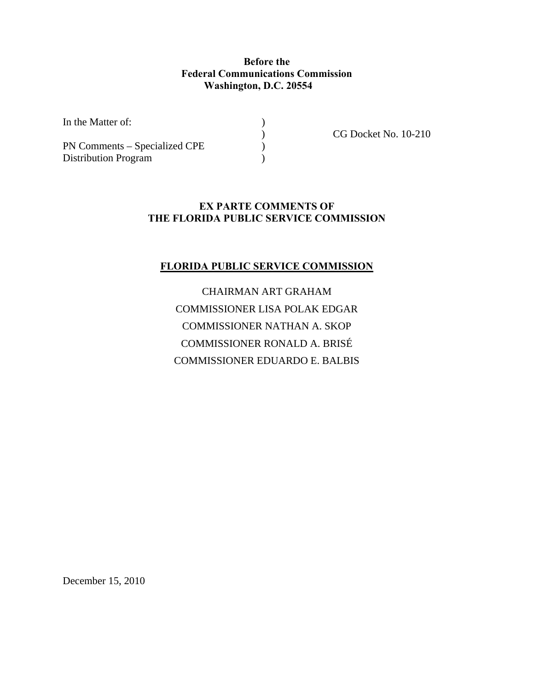### **Before the Federal Communications Commission Washington, D.C. 20554**

In the Matter of:  $\qquad \qquad$  )

PN Comments – Specialized CPE Distribution Program (1)

) CG Docket No. 10-210

## **EX PARTE COMMENTS OF THE FLORIDA PUBLIC SERVICE COMMISSION**

## **FLORIDA PUBLIC SERVICE COMMISSION**

CHAIRMAN ART GRAHAM COMMISSIONER LISA POLAK EDGAR COMMISSIONER NATHAN A. SKOP COMMISSIONER RONALD A. BRISÉ COMMISSIONER EDUARDO E. BALBIS

December 15, 2010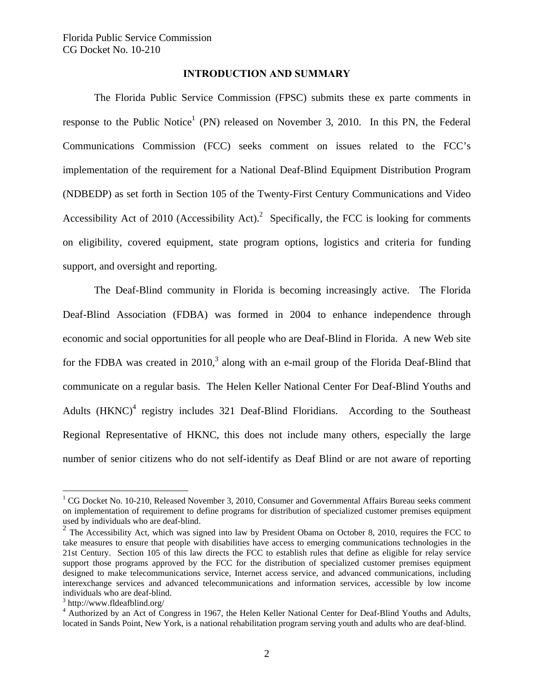#### **INTRODUCTION AND SUMMARY**

 The Florida Public Service Commission (FPSC) submits these ex parte comments in response to the Public Notice<sup>1</sup> (PN) released on November 3, 2010. In this PN, the Federal Communications Commission (FCC) seeks comment on issues related to the FCC's implementation of the requirement for a National Deaf-Blind Equipment Distribution Program (NDBEDP) as set forth in Section 105 of the Twenty-First Century Communications and Video Accessibility Act of 2010 (Accessibility Act).<sup>2</sup> Specifically, the FCC is looking for comments on eligibility, covered equipment, state program options, logistics and criteria for funding support, and oversight and reporting.

 The Deaf-Blind community in Florida is becoming increasingly active. The Florida Deaf-Blind Association (FDBA) was formed in 2004 to enhance independence through economic and social opportunities for all people who are Deaf-Blind in Florida. A new Web site for the FDBA was created in  $2010<sup>3</sup>$  along with an e-mail group of the Florida Deaf-Blind that communicate on a regular basis. The Helen Keller National Center For Deaf-Blind Youths and Adults  $(HKNC)^4$  registry includes 321 Deaf-Blind Floridians. According to the Southeast Regional Representative of HKNC, this does not include many others, especially the large number of senior citizens who do not self-identify as Deaf Blind or are not aware of reporting

<u>.</u>

 $1 \text{ CG}$  Docket No. 10-210, Released November 3, 2010, Consumer and Governmental Affairs Bureau seeks comment on implementation of requirement to define programs for distribution of specialized customer premises equipment used by individuals who are deaf-blind.

 $2$  The Accessibility Act, which was signed into law by President Obama on October 8, 2010, requires the FCC to take measures to ensure that people with disabilities have access to emerging communications technologies in the 21st Century. Section 105 of this law directs the FCC to establish rules that define as eligible for relay service support those programs approved by the FCC for the distribution of specialized customer premises equipment designed to make telecommunications service, Internet access service, and advanced communications, including interexchange services and advanced telecommunications and information services, accessible by low income individuals who are deaf-blind.

<sup>3</sup> http://www.fldeafblind.org/

<sup>&</sup>lt;sup>4</sup> Authorized by an Act of Congress in 1967, the Helen Keller National Center for Deaf-Blind Youths and Adults, located in Sands Point, New York, is a national rehabilitation program serving youth and adults who are deaf-blind.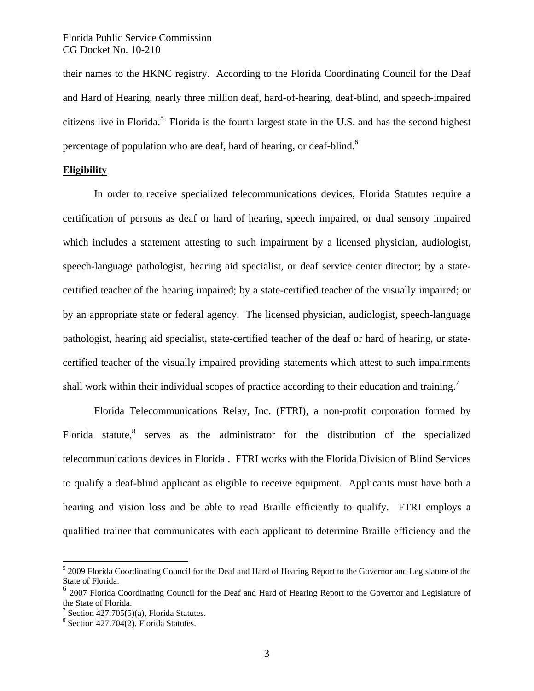their names to the HKNC registry. According to the Florida Coordinating Council for the Deaf and Hard of Hearing, nearly three million deaf, hard-of-hearing, deaf-blind, and speech-impaired citizens live in Florida.<sup>5</sup> Florida is the fourth largest state in the U.S. and has the second highest percentage of population who are deaf, hard of hearing, or deaf-blind.<sup>6</sup>

#### **Eligibility**

 In order to receive specialized telecommunications devices, Florida Statutes require a certification of persons as deaf or hard of hearing, speech impaired, or dual sensory impaired which includes a statement attesting to such impairment by a licensed physician, audiologist, speech-language pathologist, hearing aid specialist, or deaf service center director; by a statecertified teacher of the hearing impaired; by a state-certified teacher of the visually impaired; or by an appropriate state or federal agency. The licensed physician, audiologist, speech-language pathologist, hearing aid specialist, state-certified teacher of the deaf or hard of hearing, or statecertified teacher of the visually impaired providing statements which attest to such impairments shall work within their individual scopes of practice according to their education and training.<sup>7</sup>

 Florida Telecommunications Relay, Inc. (FTRI), a non-profit corporation formed by Florida statute, ${}^{8}$  serves as the administrator for the distribution of the specialized telecommunications devices in Florida . FTRI works with the Florida Division of Blind Services to qualify a deaf-blind applicant as eligible to receive equipment. Applicants must have both a hearing and vision loss and be able to read Braille efficiently to qualify. FTRI employs a qualified trainer that communicates with each applicant to determine Braille efficiency and the

 $\overline{a}$ 

<sup>&</sup>lt;sup>5</sup> 2009 Florida Coordinating Council for the Deaf and Hard of Hearing Report to the Governor and Legislature of the State of Florida.

<sup>6</sup> 2007 Florida Coordinating Council for the Deaf and Hard of Hearing Report to the Governor and Legislature of the State of Florida.

<sup>&</sup>lt;sup>7</sup> Section 427.705(5)(a), Florida Statutes.

 $8$  Section 427.704(2), Florida Statutes.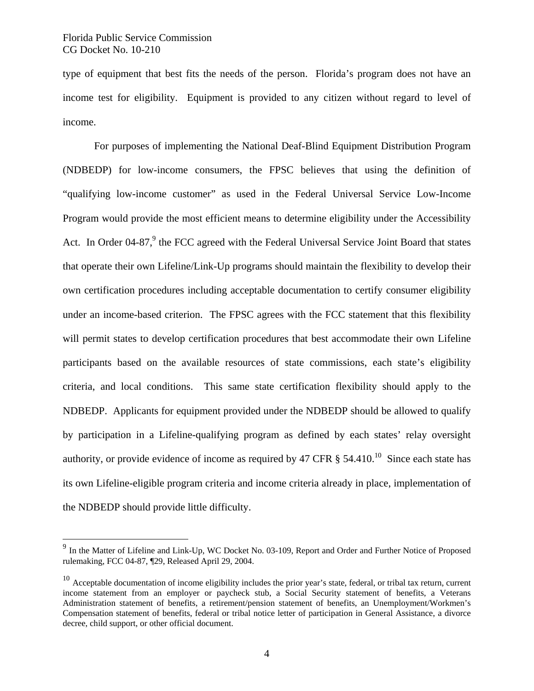$\overline{a}$ 

type of equipment that best fits the needs of the person. Florida's program does not have an income test for eligibility. Equipment is provided to any citizen without regard to level of income.

 For purposes of implementing the National Deaf-Blind Equipment Distribution Program (NDBEDP) for low-income consumers, the FPSC believes that using the definition of "qualifying low-income customer" as used in the Federal Universal Service Low-Income Program would provide the most efficient means to determine eligibility under the Accessibility Act. In Order 04-87, $9$  the FCC agreed with the Federal Universal Service Joint Board that states that operate their own Lifeline/Link-Up programs should maintain the flexibility to develop their own certification procedures including acceptable documentation to certify consumer eligibility under an income-based criterion. The FPSC agrees with the FCC statement that this flexibility will permit states to develop certification procedures that best accommodate their own Lifeline participants based on the available resources of state commissions, each state's eligibility criteria, and local conditions. This same state certification flexibility should apply to the NDBEDP. Applicants for equipment provided under the NDBEDP should be allowed to qualify by participation in a Lifeline-qualifying program as defined by each states' relay oversight authority, or provide evidence of income as required by 47 CFR  $\S$  54.410.<sup>10</sup> Since each state has its own Lifeline-eligible program criteria and income criteria already in place, implementation of the NDBEDP should provide little difficulty.

<sup>&</sup>lt;sup>9</sup> In the Matter of Lifeline and Link-Up, WC Docket No. 03-109, Report and Order and Further Notice of Proposed rulemaking, FCC 04-87, ¶29, Released April 29, 2004.

 $10$  Acceptable documentation of income eligibility includes the prior year's state, federal, or tribal tax return, current income statement from an employer or paycheck stub, a Social Security statement of benefits, a Veterans Administration statement of benefits, a retirement/pension statement of benefits, an Unemployment/Workmen's Compensation statement of benefits, federal or tribal notice letter of participation in General Assistance, a divorce decree, child support, or other official document.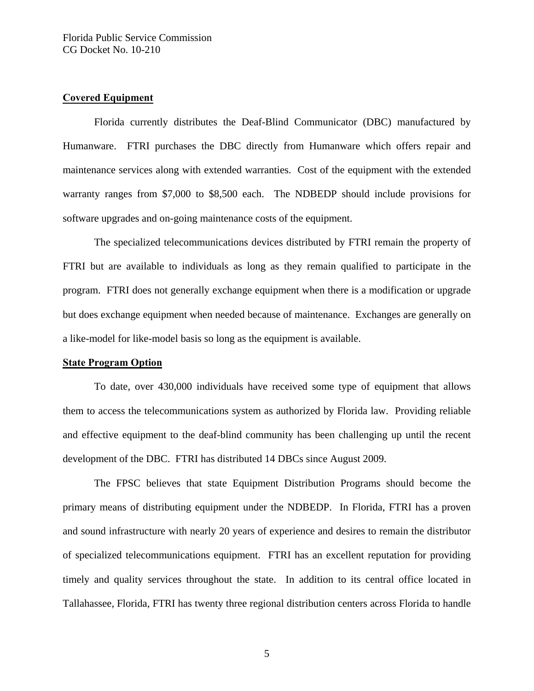#### **Covered Equipment**

 Florida currently distributes the Deaf-Blind Communicator (DBC) manufactured by Humanware. FTRI purchases the DBC directly from Humanware which offers repair and maintenance services along with extended warranties. Cost of the equipment with the extended warranty ranges from \$7,000 to \$8,500 each. The NDBEDP should include provisions for software upgrades and on-going maintenance costs of the equipment.

 The specialized telecommunications devices distributed by FTRI remain the property of FTRI but are available to individuals as long as they remain qualified to participate in the program. FTRI does not generally exchange equipment when there is a modification or upgrade but does exchange equipment when needed because of maintenance. Exchanges are generally on a like-model for like-model basis so long as the equipment is available.

#### **State Program Option**

 To date, over 430,000 individuals have received some type of equipment that allows them to access the telecommunications system as authorized by Florida law. Providing reliable and effective equipment to the deaf-blind community has been challenging up until the recent development of the DBC. FTRI has distributed 14 DBCs since August 2009.

 The FPSC believes that state Equipment Distribution Programs should become the primary means of distributing equipment under the NDBEDP. In Florida, FTRI has a proven and sound infrastructure with nearly 20 years of experience and desires to remain the distributor of specialized telecommunications equipment. FTRI has an excellent reputation for providing timely and quality services throughout the state. In addition to its central office located in Tallahassee, Florida, FTRI has twenty three regional distribution centers across Florida to handle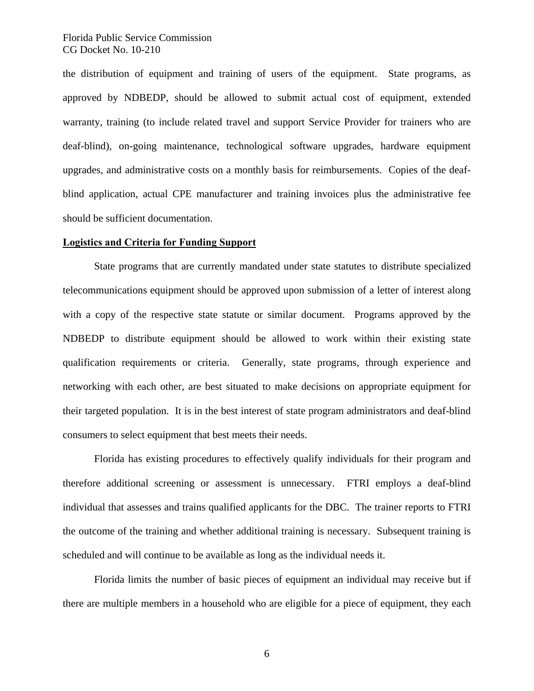#### Florida Public Service Commission CG Docket No. 10-210

the distribution of equipment and training of users of the equipment. State programs, as approved by NDBEDP, should be allowed to submit actual cost of equipment, extended warranty, training (to include related travel and support Service Provider for trainers who are deaf-blind), on-going maintenance, technological software upgrades, hardware equipment upgrades, and administrative costs on a monthly basis for reimbursements. Copies of the deafblind application, actual CPE manufacturer and training invoices plus the administrative fee should be sufficient documentation.

#### **Logistics and Criteria for Funding Support**

 State programs that are currently mandated under state statutes to distribute specialized telecommunications equipment should be approved upon submission of a letter of interest along with a copy of the respective state statute or similar document. Programs approved by the NDBEDP to distribute equipment should be allowed to work within their existing state qualification requirements or criteria. Generally, state programs, through experience and networking with each other, are best situated to make decisions on appropriate equipment for their targeted population. It is in the best interest of state program administrators and deaf-blind consumers to select equipment that best meets their needs.

 Florida has existing procedures to effectively qualify individuals for their program and therefore additional screening or assessment is unnecessary. FTRI employs a deaf-blind individual that assesses and trains qualified applicants for the DBC. The trainer reports to FTRI the outcome of the training and whether additional training is necessary. Subsequent training is scheduled and will continue to be available as long as the individual needs it.

 Florida limits the number of basic pieces of equipment an individual may receive but if there are multiple members in a household who are eligible for a piece of equipment, they each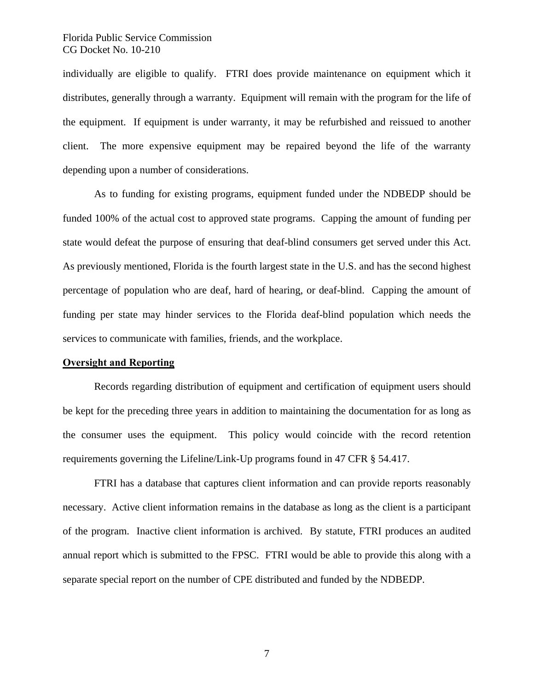#### Florida Public Service Commission CG Docket No. 10-210

individually are eligible to qualify. FTRI does provide maintenance on equipment which it distributes, generally through a warranty. Equipment will remain with the program for the life of the equipment. If equipment is under warranty, it may be refurbished and reissued to another client. The more expensive equipment may be repaired beyond the life of the warranty depending upon a number of considerations.

 As to funding for existing programs, equipment funded under the NDBEDP should be funded 100% of the actual cost to approved state programs. Capping the amount of funding per state would defeat the purpose of ensuring that deaf-blind consumers get served under this Act. As previously mentioned, Florida is the fourth largest state in the U.S. and has the second highest percentage of population who are deaf, hard of hearing, or deaf-blind. Capping the amount of funding per state may hinder services to the Florida deaf-blind population which needs the services to communicate with families, friends, and the workplace.

#### **Oversight and Reporting**

 Records regarding distribution of equipment and certification of equipment users should be kept for the preceding three years in addition to maintaining the documentation for as long as the consumer uses the equipment. This policy would coincide with the record retention requirements governing the Lifeline/Link-Up programs found in 47 CFR § 54.417.

 FTRI has a database that captures client information and can provide reports reasonably necessary. Active client information remains in the database as long as the client is a participant of the program. Inactive client information is archived. By statute, FTRI produces an audited annual report which is submitted to the FPSC. FTRI would be able to provide this along with a separate special report on the number of CPE distributed and funded by the NDBEDP.

7